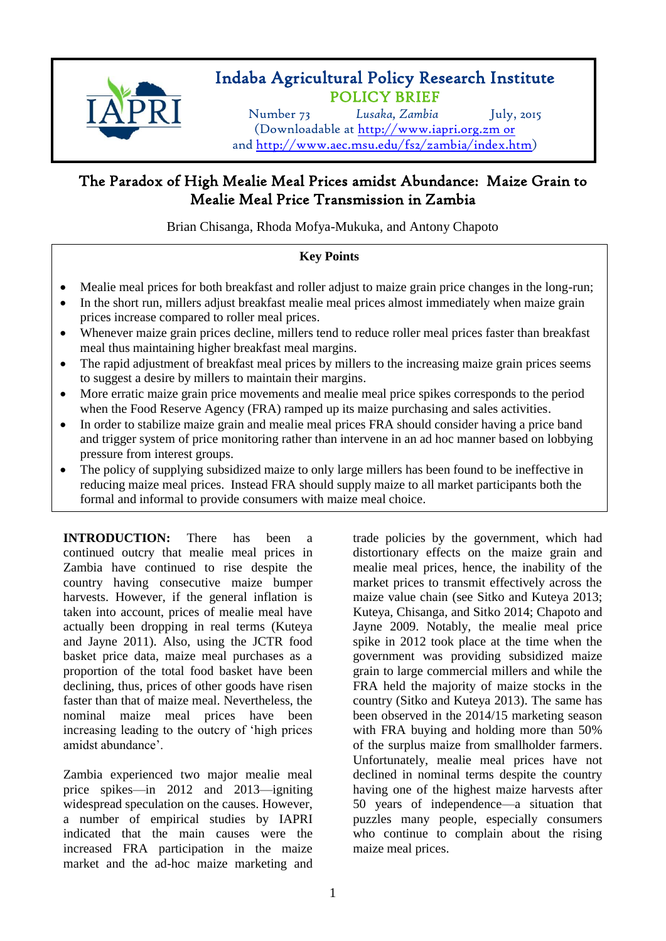

# Indaba Agricultural Policy Research Institute POLICY BRIEF

Number 73 *Lusaka, Zambia* July, 2015 (Downloadable at [http://www.iapri.org.zm](http://www.iapri.org.zm/) or and [http://www.aec.msu.edu/fs2/zambia/index.htm\)](http://www.aec.msu.edu/fs2/zambia/index.htm)

# The Paradox of High Mealie Meal Prices amidst Abundance: Maize Grain to Mealie Meal Price Transmission in Zambia

Brian Chisanga, Rhoda Mofya-Mukuka, and Antony Chapoto

# **Key Points**

- Mealie meal prices for both breakfast and roller adjust to maize grain price changes in the long-run;
- In the short run, millers adjust breakfast mealie meal prices almost immediately when maize grain prices increase compared to roller meal prices.
- Whenever maize grain prices decline, millers tend to reduce roller meal prices faster than breakfast meal thus maintaining higher breakfast meal margins.
- The rapid adjustment of breakfast meal prices by millers to the increasing maize grain prices seems to suggest a desire by millers to maintain their margins.
- More erratic maize grain price movements and mealie meal price spikes corresponds to the period when the Food Reserve Agency (FRA) ramped up its maize purchasing and sales activities.
- In order to stabilize maize grain and mealie meal prices FRA should consider having a price band and trigger system of price monitoring rather than intervene in an ad hoc manner based on lobbying pressure from interest groups.
- $\overline{a}$  The policy of supplying subsidized maize to only large millers has been found to be ineffective in reducing maize meal prices. Instead FRA should supply maize to all market participants both the formal and informal to provide consumers with maize meal choice.

**INTRODUCTION:** There has been a continued outcry that mealie meal prices in Zambia have continued to rise despite the country having consecutive maize bumper harvests. However, if the general inflation is taken into account, prices of mealie meal have actually been dropping in real terms (Kuteya and Jayne 2011). Also, using the JCTR food basket price data, maize meal purchases as a proportion of the total food basket have been declining, thus, prices of other goods have risen faster than that of maize meal. Nevertheless, the nominal maize meal prices have been increasing leading to the outcry of 'high prices amidst abundance'.

Zambia experienced two major mealie meal price spikes—in 2012 and 2013—igniting widespread speculation on the causes. However, a number of empirical studies by IAPRI indicated that the main causes were the increased FRA participation in the maize market and the ad-hoc maize marketing and trade policies by the government, which had distortionary effects on the maize grain and mealie meal prices, hence, the inability of the market prices to transmit effectively across the maize value chain (see Sitko and Kuteya 2013; Kuteya, Chisanga, and Sitko 2014; Chapoto and Jayne 2009. Notably, the mealie meal price spike in 2012 took place at the time when the government was providing subsidized maize grain to large commercial millers and while the FRA held the majority of maize stocks in the country (Sitko and Kuteya 2013). The same has been observed in the 2014/15 marketing season with FRA buying and holding more than 50% of the surplus maize from smallholder farmers. Unfortunately, mealie meal prices have not declined in nominal terms despite the country having one of the highest maize harvests after 50 years of independence—a situation that puzzles many people, especially consumers who continue to complain about the rising maize meal prices.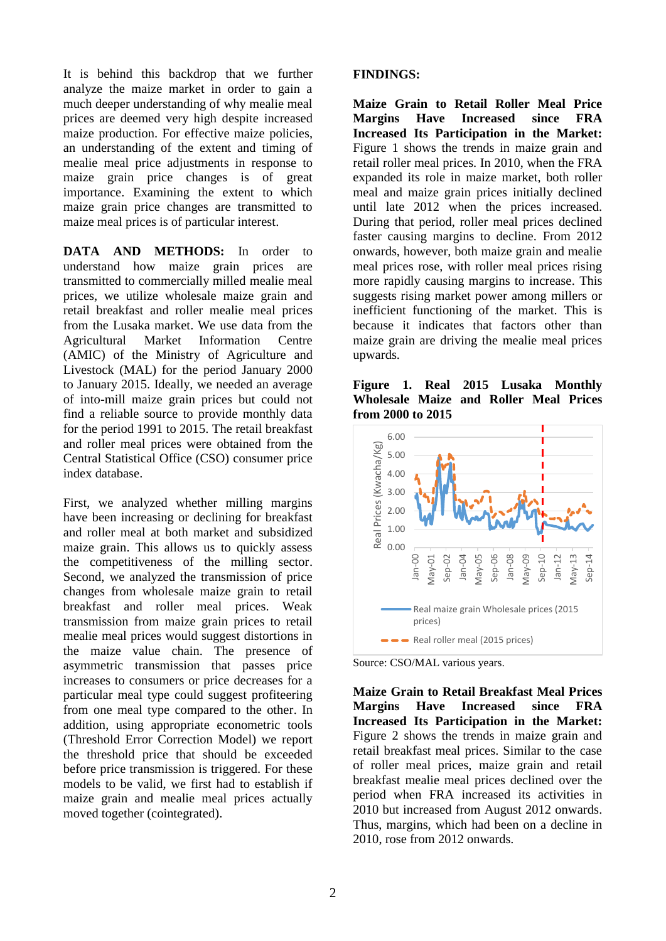It is behind this backdrop that we further analyze the maize market in order to gain a much deeper understanding of why mealie meal prices are deemed very high despite increased maize production. For effective maize policies, an understanding of the extent and timing of mealie meal price adjustments in response to maize grain price changes is of great importance. Examining the extent to which maize grain price changes are transmitted to maize meal prices is of particular interest.

**DATA AND METHODS:** In order to understand how maize grain prices are transmitted to commercially milled mealie meal prices, we utilize wholesale maize grain and retail breakfast and roller mealie meal prices from the Lusaka market. We use data from the Agricultural Market Information Centre (AMIC) of the Ministry of Agriculture and Livestock (MAL) for the period January 2000 to January 2015. Ideally, we needed an average of into-mill maize grain prices but could not find a reliable source to provide monthly data for the period 1991 to 2015. The retail breakfast and roller meal prices were obtained from the Central Statistical Office (CSO) consumer price index database.

First, we analyzed whether milling margins have been increasing or declining for breakfast and roller meal at both market and subsidized maize grain. This allows us to quickly assess the competitiveness of the milling sector. Second, we analyzed the transmission of price changes from wholesale maize grain to retail breakfast and roller meal prices. Weak transmission from maize grain prices to retail mealie meal prices would suggest distortions in the maize value chain. The presence of asymmetric transmission that passes price increases to consumers or price decreases for a particular meal type could suggest profiteering from one meal type compared to the other. In addition, using appropriate econometric tools (Threshold Error Correction Model) we report the threshold price that should be exceeded before price transmission is triggered. For these models to be valid, we first had to establish if maize grain and mealie meal prices actually moved together (cointegrated).

#### **FINDINGS:**

**Maize Grain to Retail Roller Meal Price Margins Have Increased since FRA Increased Its Participation in the Market:** Figure 1 shows the trends in maize grain and retail roller meal prices. In 2010, when the FRA expanded its role in maize market, both roller meal and maize grain prices initially declined until late 2012 when the prices increased. During that period, roller meal prices declined faster causing margins to decline. From 2012 onwards, however, both maize grain and mealie meal prices rose, with roller meal prices rising more rapidly causing margins to increase. This suggests rising market power among millers or inefficient functioning of the market. This is because it indicates that factors other than maize grain are driving the mealie meal prices upwards.

**Figure 1. Real 2015 Lusaka Monthly Wholesale Maize and Roller Meal Prices from 2000 to 2015**



Source: CSO/MAL various years.

**Maize Grain to Retail Breakfast Meal Prices Margins Have Increased since FRA Increased Its Participation in the Market:**  Figure 2 shows the trends in maize grain and retail breakfast meal prices. Similar to the case of roller meal prices, maize grain and retail breakfast mealie meal prices declined over the period when FRA increased its activities in 2010 but increased from August 2012 onwards. Thus, margins, which had been on a decline in 2010, rose from 2012 onwards.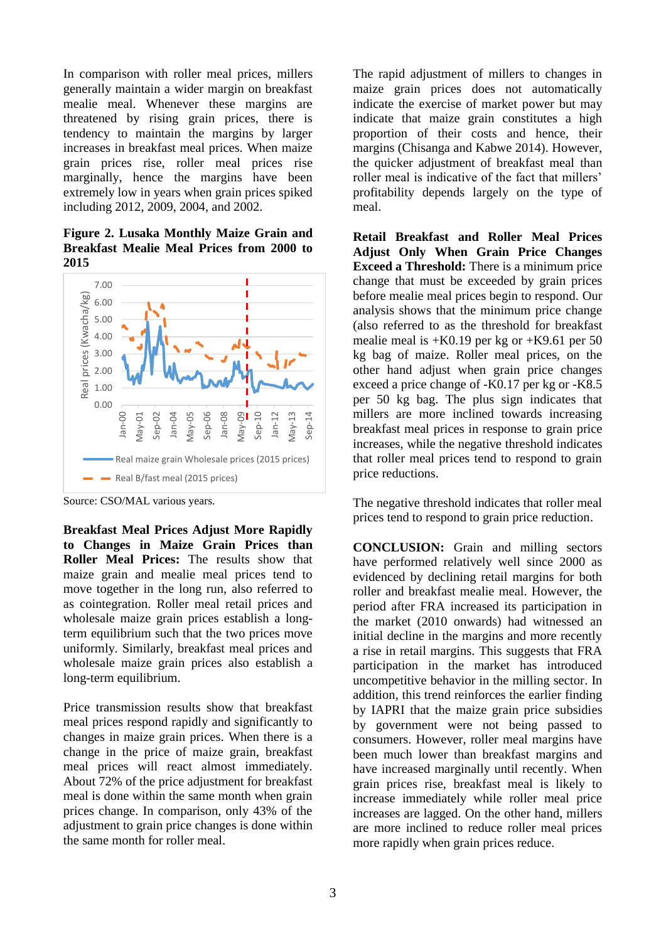In comparison with roller meal prices, millers generally maintain a wider margin on breakfast mealie meal. Whenever these margins are threatened by rising grain prices, there is tendency to maintain the margins by larger increases in breakfast meal prices. When maize grain prices rise, roller meal prices rise marginally, hence the margins have been extremely low in years when grain prices spiked including 2012, 2009, 2004, and 2002.

**Figure 2. Lusaka Monthly Maize Grain and Breakfast Mealie Meal Prices from 2000 to 2015**



Source: CSO/MAL various years.

**Breakfast Meal Prices Adjust More Rapidly to Changes in Maize Grain Prices than Roller Meal Prices:** The results show that maize grain and mealie meal prices tend to move together in the long run, also referred to as cointegration. Roller meal retail prices and wholesale maize grain prices establish a longterm equilibrium such that the two prices move uniformly. Similarly, breakfast meal prices and wholesale maize grain prices also establish a long-term equilibrium.

Price transmission results show that breakfast meal prices respond rapidly and significantly to changes in maize grain prices. When there is a change in the price of maize grain, breakfast meal prices will react almost immediately. About 72% of the price adjustment for breakfast meal is done within the same month when grain prices change. In comparison, only 43% of the adjustment to grain price changes is done within the same month for roller meal.

The rapid adjustment of millers to changes in maize grain prices does not automatically indicate the exercise of market power but may indicate that maize grain constitutes a high proportion of their costs and hence, their margins (Chisanga and Kabwe 2014). However, the quicker adjustment of breakfast meal than roller meal is indicative of the fact that millers' profitability depends largely on the type of meal.

**Retail Breakfast and Roller Meal Prices Adjust Only When Grain Price Changes Exceed a Threshold:** There is a minimum price change that must be exceeded by grain prices before mealie meal prices begin to respond. Our analysis shows that the minimum price change (also referred to as the threshold for breakfast mealie meal is  $+K0.19$  per kg or  $+K9.61$  per 50 kg bag of maize. Roller meal prices, on the other hand adjust when grain price changes exceed a price change of -K0.17 per kg or -K8.5 per 50 kg bag. The plus sign indicates that millers are more inclined towards increasing breakfast meal prices in response to grain price increases, while the negative threshold indicates that roller meal prices tend to respond to grain price reductions.

The negative threshold indicates that roller meal prices tend to respond to grain price reduction.

**CONCLUSION:** Grain and milling sectors have performed relatively well since 2000 as evidenced by declining retail margins for both roller and breakfast mealie meal. However, the period after FRA increased its participation in the market (2010 onwards) had witnessed an initial decline in the margins and more recently a rise in retail margins. This suggests that FRA participation in the market has introduced uncompetitive behavior in the milling sector. In addition, this trend reinforces the earlier finding by IAPRI that the maize grain price subsidies by government were not being passed to consumers. However, roller meal margins have been much lower than breakfast margins and have increased marginally until recently. When grain prices rise, breakfast meal is likely to increase immediately while roller meal price increases are lagged. On the other hand, millers are more inclined to reduce roller meal prices more rapidly when grain prices reduce.